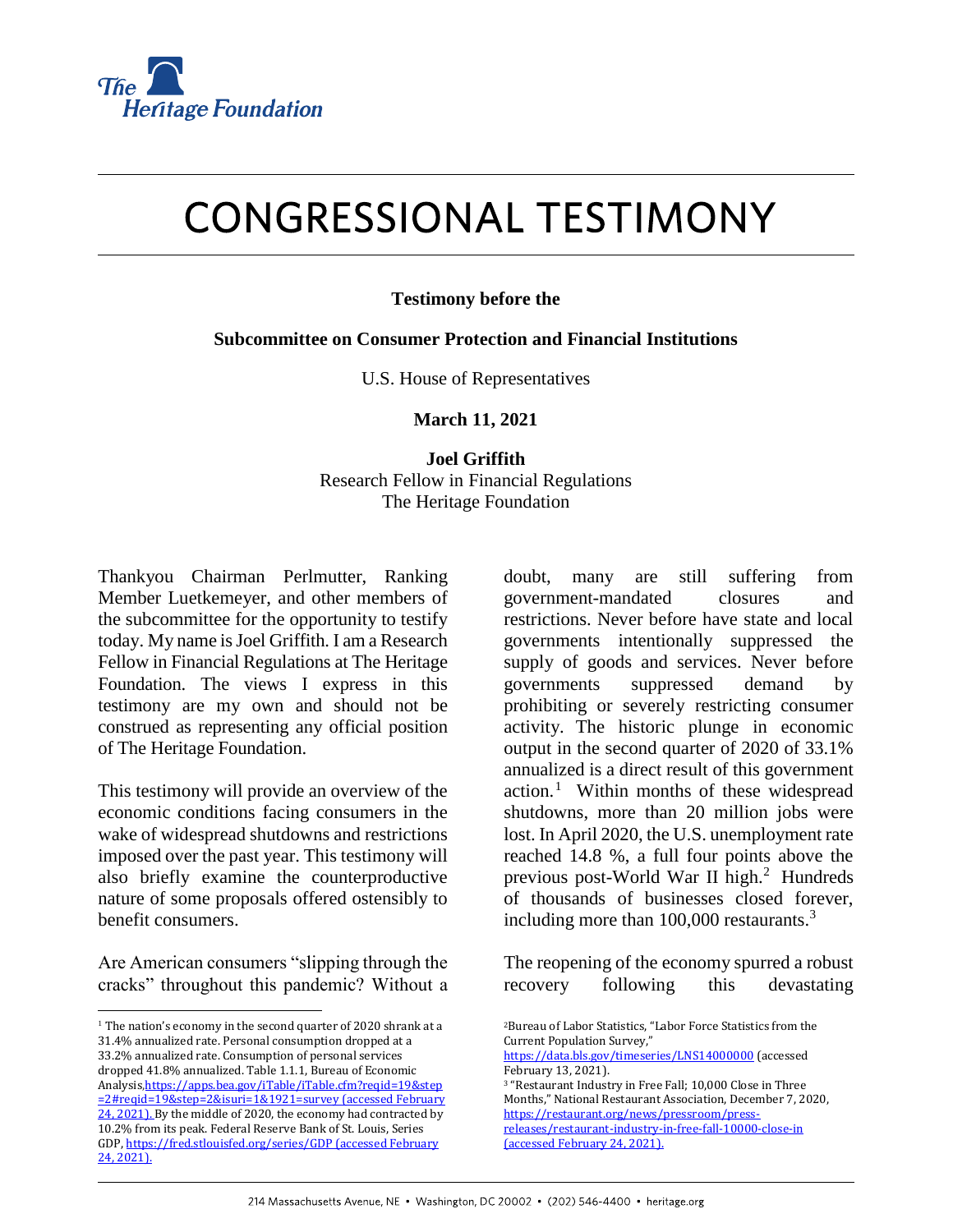

# **CONGRESSIONAL TESTIMONY**

### **Testimony before the**

#### **Subcommittee on Consumer Protection and Financial Institutions**

U.S. House of Representatives

**March 11, 2021**

# **Joel Griffith** Research Fellow in Financial Regulations The Heritage Foundation

Thankyou Chairman Perlmutter, Ranking Member Luetkemeyer, and other members of the subcommittee for the opportunity to testify today. My name is Joel Griffith. I am a Research Fellow in Financial Regulations at The Heritage Foundation. The views I express in this testimony are my own and should not be construed as representing any official position of The Heritage Foundation.

This testimony will provide an overview of the economic conditions facing consumers in the wake of widespread shutdowns and restrictions imposed over the past year. This testimony will also briefly examine the counterproductive nature of some proposals offered ostensibly to benefit consumers.

Are American consumers "slipping through the cracks" throughout this pandemic? Without a

l

doubt, many are still suffering from government-mandated closures and restrictions. Never before have state and local governments intentionally suppressed the supply of goods and services. Never before governments suppressed demand by prohibiting or severely restricting consumer activity. The historic plunge in economic output in the second quarter of 2020 of 33.1% annualized is a direct result of this government action.<sup>1</sup> Within months of these widespread shutdowns, more than 20 million jobs were lost. In April 2020, the U.S. unemployment rate reached 14.8 %, a full four points above the previous post-World War II high.<sup>2</sup> Hundreds of thousands of businesses closed forever, including more than  $100,000$  restaurants.<sup>3</sup>

The reopening of the economy spurred a robust recovery following this devastating

<sup>&</sup>lt;sup>1</sup> The nation's economy in the second quarter of 2020 shrank at a 31.4% annualized rate. Personal consumption dropped at a 33.2% annualized rate. Consumption of personal services dropped 41.8% annualized. Table 1.1.1, Bureau of Economic Analysis, https://apps.bea.gov/iTable/iTable.cfm?reqid=19&step [=2#reqid=19&step=2&isuri=1&1921=survey](https://apps.bea.gov/iTable/iTable.cfm?reqid=19&step=2#reqid=19&step=2&isuri=1&1921=survey) (accessed February 24, 2021). By the middle of 2020, the economy had contracted by 10.2% from its peak. Federal Reserve Bank of St. Louis, Series GDP[, https://fred.stlouisfed.org/series/GDP](https://fred.stlouisfed.org/series/GDP) (accessed February 24, 2021).

<sup>2</sup>Bureau of Labor Statistics, "Labor Force Statistics from the Current Population Survey,"

<https://data.bls.gov/timeseries/LNS14000000> (accessed February 13, 2021).

<sup>3</sup> "Restaurant Industry in Free Fall; 10,000 Close in Three Months," National Restaurant Association, December 7, 2020, [https://restaurant.org/news/pressroom/press](https://restaurant.org/news/pressroom/press-releases/restaurant-industry-in-free-fall-10000-close-in)[releases/restaurant-industry-in-free-fall-10000-close-in](https://restaurant.org/news/pressroom/press-releases/restaurant-industry-in-free-fall-10000-close-in) (accessed February 24, 2021).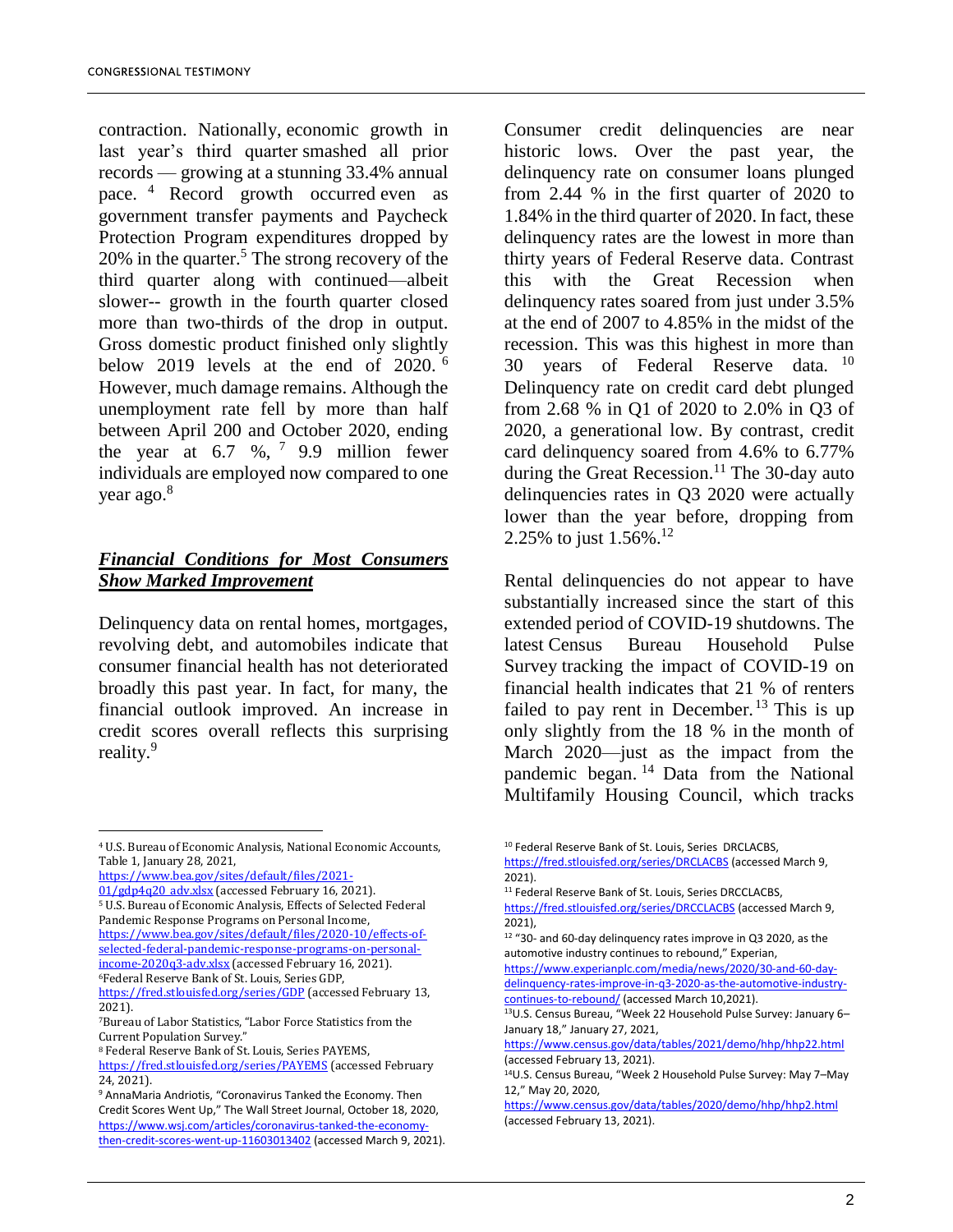contraction. Nationally, economic growth in last year's third quarter smashed all prior records — growing at a stunning 33.4% annual pace. <sup>4</sup> Record growth occurred even as government transfer payments and Paycheck Protection Program expenditures dropped by  $20\%$  in the quarter.<sup>5</sup> The strong recovery of the third quarter along with continued—albeit slower-- growth in the fourth quarter closed more than two-thirds of the drop in output. Gross domestic product finished only slightly below 2019 levels at the end of 2020. <sup>6</sup> However, much damage remains. Although the unemployment rate fell by more than half between April 200 and October 2020, ending the year at  $6.7 \%$ ,  $7.9.9$  million fewer individuals are employed now compared to one year ago.<sup>8</sup>

# *Financial Conditions for Most Consumers Show Marked Improvement*

Delinquency data on rental homes, mortgages, revolving debt, and automobiles indicate that consumer financial health has not deteriorated broadly this past year. In fact, for many, the financial outlook improved. An increase in credit scores overall reflects this surprising reality.<sup>9</sup>

[https://www.bea.gov/sites/default/files/2021-](https://www.bea.gov/sites/default/files/2021-01/gdp4q20_adv.xlsx)

l

01/gdp4q20 adv.xlsx (accessed February 16, 2021). <sup>5</sup> U.S. Bureau of Economic Analysis, Effects of Selected Federal Pandemic Response Programs on Personal Income,

[https://www.bea.gov/sites/default/files/2020-10/effects-of](https://www.bea.gov/sites/default/files/2020-10/effects-of-selected-federal-pandemic-response-programs-on-personal-income-2020q3-adv.xlsx)[selected-federal-pandemic-response-programs-on-personal](https://www.bea.gov/sites/default/files/2020-10/effects-of-selected-federal-pandemic-response-programs-on-personal-income-2020q3-adv.xlsx)[income-2020q3-adv.xlsx](https://www.bea.gov/sites/default/files/2020-10/effects-of-selected-federal-pandemic-response-programs-on-personal-income-2020q3-adv.xlsx)</u> (accessed February 16, 2021). <sup>6</sup>Federal Reserve Bank of St. Louis, Series GDP,

Consumer credit delinquencies are near historic lows. Over the past year, the delinquency rate on consumer loans plunged from 2.44 % in the first quarter of 2020 to 1.84% in the third quarter of 2020. In fact, these delinquency rates are the lowest in more than thirty years of Federal Reserve data. Contrast this with the Great Recession when delinquency rates soared from just under 3.5% at the end of 2007 to 4.85% in the midst of the recession. This was this highest in more than 30 years of Federal Reserve data.  $10$ Delinquency rate on credit card debt plunged from 2.68 % in Q1 of 2020 to 2.0% in Q3 of 2020, a generational low. By contrast, credit card delinquency soared from 4.6% to 6.77% during the Great Recession. <sup>11</sup> The 30-day auto delinquencies rates in Q3 2020 were actually lower than the year before, dropping from 2.25% to just  $1.56\%$ <sup>12</sup>

Rental delinquencies do not appear to have substantially increased since the start of this extended period of COVID-19 shutdowns. The latest Census Bureau Household Pulse Survey tracking the impact of COVID-19 on financial health indicates that 21 % of renters failed to pay rent in December.<sup>13</sup> This is up only slightly from the 18 % in the month of March 2020—just as the impact from the pandemic began. <sup>14</sup> Data from the National Multifamily Housing Council, which tracks

<sup>4</sup> U.S. Bureau of Economic Analysis, National Economic Accounts, Table 1, January 28, 2021,

<https://fred.stlouisfed.org/series/GDP> (accessed February 13, 2021).

<sup>7</sup>Bureau of Labor Statistics, "Labor Force Statistics from the Current Population Survey."

<sup>8</sup> Federal Reserve Bank of St. Louis, Series PAYEMS, <https://fred.stlouisfed.org/series/PAYEMS> (accessed February 24, 2021).

<sup>9</sup> AnnaMaria Andriotis, "Coronavirus Tanked the Economy. Then Credit Scores Went Up," The Wall Street Journal, October 18, 2020, [https://www.wsj.com/articles/coronavirus-tanked-the-economy](https://www.wsj.com/articles/coronavirus-tanked-the-economy-then-credit-scores-went-up-11603013402)[then-credit-scores-went-up-11603013402](https://www.wsj.com/articles/coronavirus-tanked-the-economy-then-credit-scores-went-up-11603013402) (accessed March 9, 2021).

<sup>10</sup> Federal Reserve Bank of St. Louis, Series DRCLACBS,

<https://fred.stlouisfed.org/series/DRCLACBS> (accessed March 9, 2021).

<sup>&</sup>lt;sup>11</sup> Federal Reserve Bank of St. Louis, Series DRCCLACBS,

<https://fred.stlouisfed.org/series/DRCCLACBS> (accessed March 9, 2021),

<sup>12</sup> "30- and 60-day delinquency rates improve in Q3 2020, as the automotive industry continues to rebound," Experian,

[https://www.experianplc.com/media/news/2020/30-and-60-day](https://www.experianplc.com/media/news/2020/30-and-60-day-delinquency-rates-improve-in-q3-2020-as-the-automotive-industry-continues-to-rebound/)[delinquency-rates-improve-in-q3-2020-as-the-automotive-industry](https://www.experianplc.com/media/news/2020/30-and-60-day-delinquency-rates-improve-in-q3-2020-as-the-automotive-industry-continues-to-rebound/)[continues-to-rebound/](https://www.experianplc.com/media/news/2020/30-and-60-day-delinquency-rates-improve-in-q3-2020-as-the-automotive-industry-continues-to-rebound/) (accessed March 10,2021).

<sup>13</sup>U.S. Census Bureau, "Week 22 Household Pulse Survey: January 6– January 18," January 27, 2021,

<https://www.census.gov/data/tables/2021/demo/hhp/hhp22.html> (accessed February 13, 2021).

<sup>14</sup>U.S. Census Bureau, "Week 2 Household Pulse Survey: May 7–May 12," May 20, 2020,

<https://www.census.gov/data/tables/2020/demo/hhp/hhp2.html> (accessed February 13, 2021).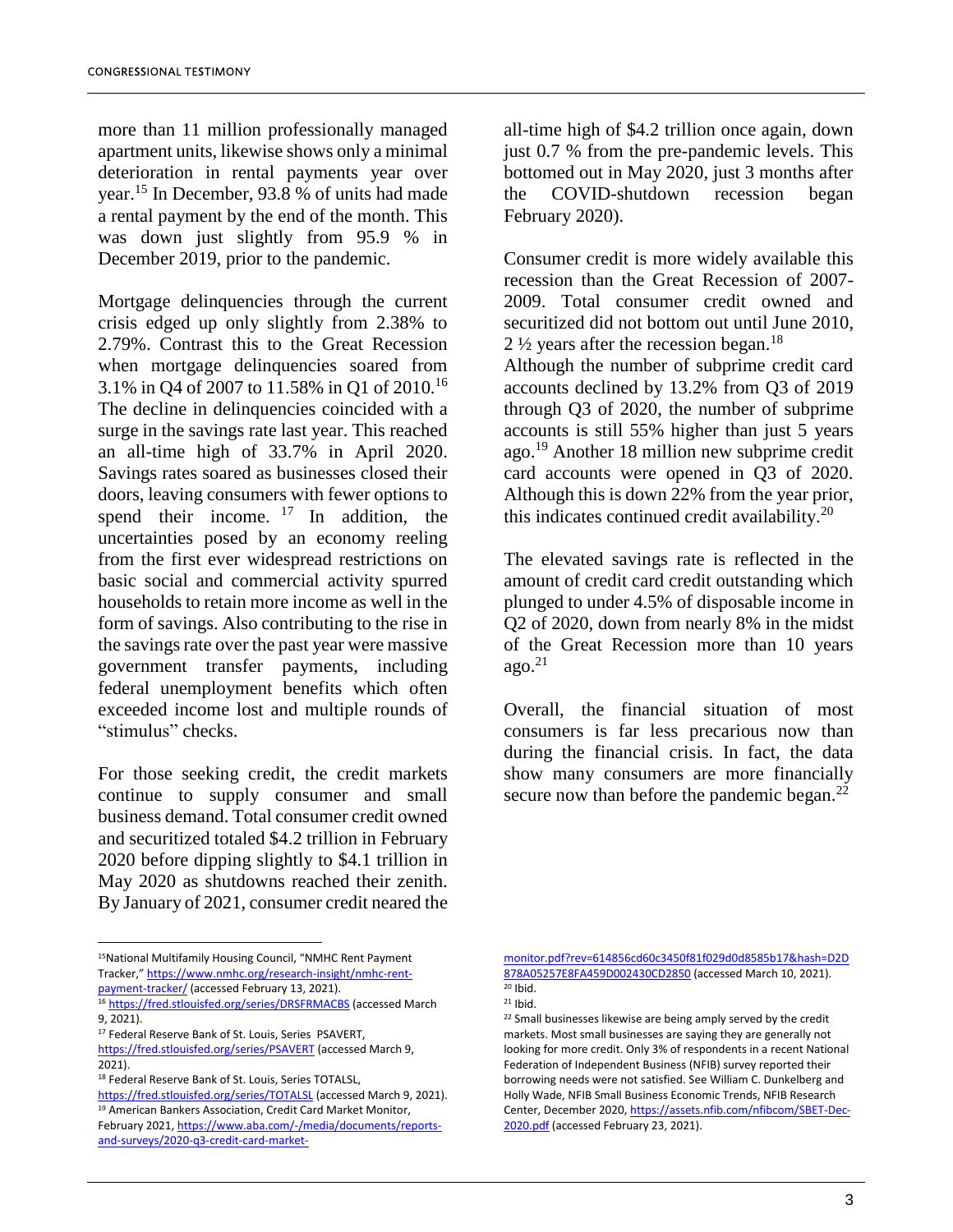more than 11 million professionally managed apartment units, likewise shows only a minimal deterioration in rental payments year over year.<sup>15</sup> In December, 93.8 % of units had made a rental payment by the end of the month. This was down just slightly from 95.9 % in December 2019, prior to the pandemic.

Mortgage delinquencies through the current crisis edged up only slightly from 2.38% to 2.79%. Contrast this to the Great Recession when mortgage delinquencies soared from 3.1% in Q4 of 2007 to 11.58% in Q1 of 2010.<sup>16</sup> The decline in delinquencies coincided with a surge in the savings rate last year. This reached an all-time high of 33.7% in April 2020. Savings rates soared as businesses closed their doors, leaving consumers with fewer options to spend their income.  $17 \text{ In addition, the}$ uncertainties posed by an economy reeling from the first ever widespread restrictions on basic social and commercial activity spurred households to retain more income as well in the form of savings. Also contributing to the rise in the savings rate over the past year were massive government transfer payments, including federal unemployment benefits which often exceeded income lost and multiple rounds of "stimulus" checks.

For those seeking credit, the credit markets continue to supply consumer and small business demand. Total consumer credit owned and securitized totaled \$4.2 trillion in February 2020 before dipping slightly to \$4.1 trillion in May 2020 as shutdowns reached their zenith. By January of 2021, consumer credit neared the

all-time high of \$4.2 trillion once again, down just 0.7 % from the pre-pandemic levels. This bottomed out in May 2020, just 3 months after the COVID-shutdown recession began February 2020).

Consumer credit is more widely available this recession than the Great Recession of 2007- 2009. Total consumer credit owned and securitized did not bottom out until June 2010, 2  $\frac{1}{2}$  years after the recession began.<sup>18</sup>

Although the number of subprime credit card accounts declined by 13.2% from Q3 of 2019 through Q3 of 2020, the number of subprime accounts is still 55% higher than just 5 years ago.<sup>19</sup> Another 18 million new subprime credit card accounts were opened in Q3 of 2020. Although this is down 22% from the year prior, this indicates continued credit availability. $20$ 

The elevated savings rate is reflected in the amount of credit card credit outstanding which plunged to under 4.5% of disposable income in Q2 of 2020, down from nearly 8% in the midst of the Great Recession more than 10 years  $ago.<sup>21</sup>$ 

Overall, the financial situation of most consumers is far less precarious now than during the financial crisis. In fact, the data show many consumers are more financially secure now than before the pandemic began.<sup>22</sup>

 $\overline{\phantom{a}}$ 

[monitor.pdf?rev=614856cd60c3450f81f029d0d8585b17&hash=D2D](https://www.aba.com/-/media/documents/reports-and-surveys/2020-q3-credit-card-market-monitor.pdf?rev=614856cd60c3450f81f029d0d8585b17&hash=D2D878A05257E8FA459D002430CD2850) [878A05257E8FA459D002430CD2850](https://www.aba.com/-/media/documents/reports-and-surveys/2020-q3-credit-card-market-monitor.pdf?rev=614856cd60c3450f81f029d0d8585b17&hash=D2D878A05257E8FA459D002430CD2850) (accessed March 10, 2021).  $20$  Ibid.

<sup>15</sup>National Multifamily Housing Council, "NMHC Rent Payment Tracker," [https://www.nmhc.org/research-insight/nmhc-rent](https://www.nmhc.org/research-insight/nmhc-rent-payment-tracker/)[payment-tracker/](https://www.nmhc.org/research-insight/nmhc-rent-payment-tracker/) (accessed February 13, 2021).

<sup>16</sup> <https://fred.stlouisfed.org/series/DRSFRMACBS> (accessed March 9, 2021).

<sup>&</sup>lt;sup>17</sup> Federal Reserve Bank of St. Louis, Series PSAVERT,

<https://fred.stlouisfed.org/series/PSAVERT> (accessed March 9, 2021).

<sup>18</sup> Federal Reserve Bank of St. Louis, Series TOTALSL,

<https://fred.stlouisfed.org/series/TOTALSL> (accessed March 9, 2021). <sup>19</sup> American Bankers Association, Credit Card Market Monitor,

February 2021[, https://www.aba.com/-/media/documents/reports](https://www.aba.com/-/media/documents/reports-and-surveys/2020-q3-credit-card-market-monitor.pdf?rev=614856cd60c3450f81f029d0d8585b17&hash=D2D878A05257E8FA459D002430CD2850)[and-surveys/2020-q3-credit-card-market-](https://www.aba.com/-/media/documents/reports-and-surveys/2020-q3-credit-card-market-monitor.pdf?rev=614856cd60c3450f81f029d0d8585b17&hash=D2D878A05257E8FA459D002430CD2850)

 $21$  Ibid.

<sup>&</sup>lt;sup>22</sup> Small businesses likewise are being amply served by the credit markets. Most small businesses are saying they are generally not looking for more credit. Only 3% of respondents in a recent National Federation of Independent Business (NFIB) survey reported their borrowing needs were not satisfied. See William C. Dunkelberg and Holly Wade, NFIB Small Business Economic Trends, NFIB Research Center, December 2020[, https://assets.nfib.com/nfibcom/SBET-Dec-](https://assets.nfib.com/nfibcom/SBET-Dec-2020.pdf)[2020.pdf](https://assets.nfib.com/nfibcom/SBET-Dec-2020.pdf) (accessed February 23, 2021).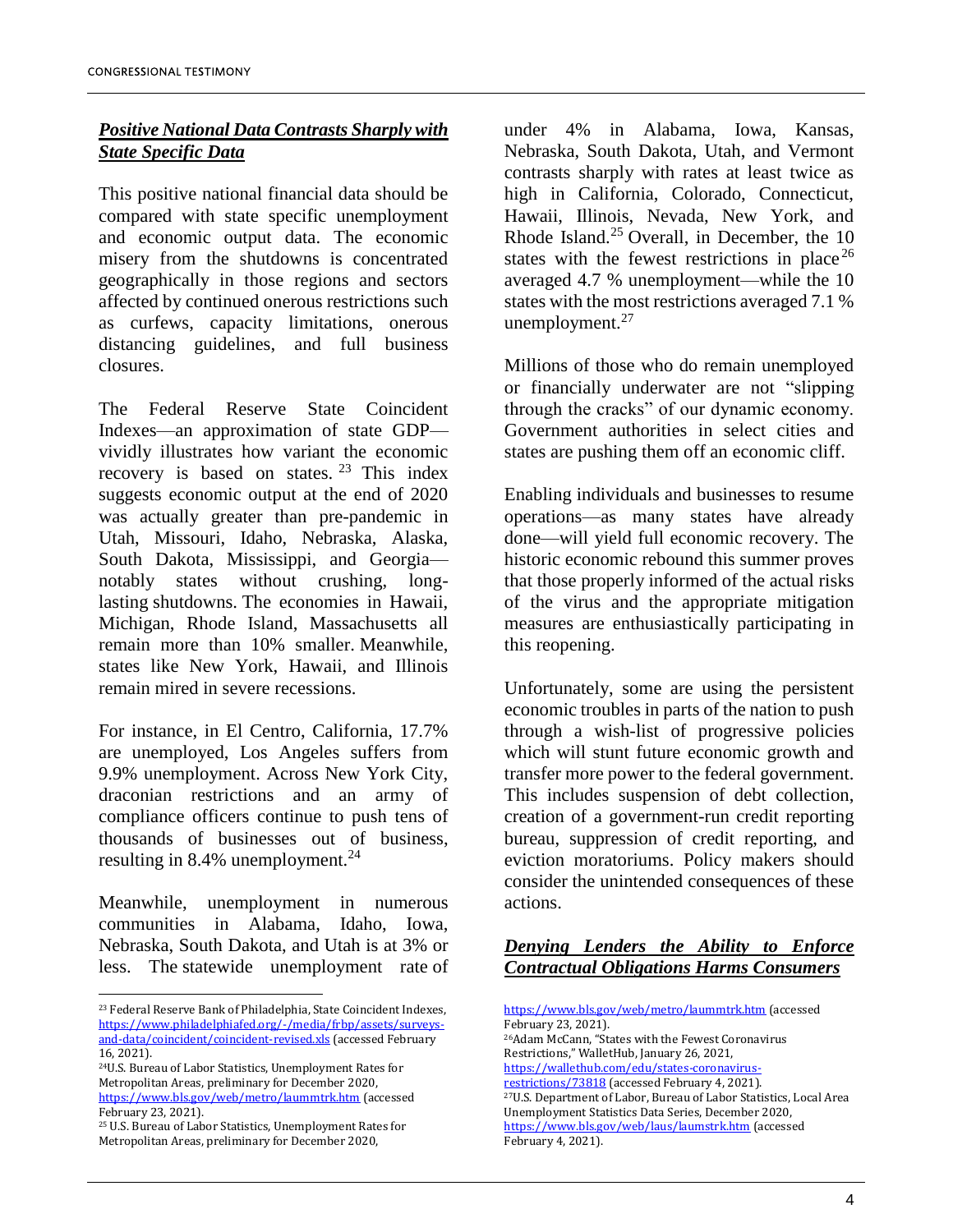# *Positive National Data Contrasts Sharply with State Specific Data*

This positive national financial data should be compared with state specific unemployment and economic output data. The economic misery from the shutdowns is concentrated geographically in those regions and sectors affected by continued onerous restrictions such as curfews, capacity limitations, onerous distancing guidelines, and full business closures.

The Federal Reserve State Coincident Indexes—an approximation of state GDP vividly illustrates how variant the economic recovery is based on states. <sup>23</sup> This index suggests economic output at the end of 2020 was actually greater than pre-pandemic in Utah, Missouri, Idaho, Nebraska, Alaska, South Dakota, Mississippi, and Georgia notably states without crushing, longlasting shutdowns. The economies in Hawaii, Michigan, Rhode Island, Massachusetts all remain more than 10% smaller. Meanwhile, states like New York, Hawaii, and Illinois remain mired in severe recessions.

For instance, in El Centro, California, 17.7% are unemployed, Los Angeles suffers from 9.9% unemployment. Across New York City, draconian restrictions and an army of compliance officers continue to push tens of thousands of businesses out of business, resulting in 8.4% unemployment. $24$ 

Meanwhile, unemployment in numerous communities in Alabama, Idaho, Iowa, Nebraska, South Dakota, and Utah is at 3% or less. The statewide unemployment rate of

<sup>24</sup>U.S. Bureau of Labor Statistics, Unemployment Rates for Metropolitan Areas, preliminary for December 2020, <https://www.bls.gov/web/metro/laummtrk.htm> (accessed February 23, 2021).

 $\overline{\phantom{a}}$ 

under 4% in Alabama, Iowa, Kansas, Nebraska, South Dakota, Utah, and Vermont contrasts sharply with rates at least twice as high in California, Colorado, Connecticut, Hawaii, Illinois, Nevada, New York, and Rhode Island.<sup>25</sup> Overall, in December, the  $10$ states with the fewest restrictions in place<sup>26</sup> averaged 4.7 % unemployment—while the 10 states with the most restrictions averaged 7.1 % unemployment. $27$ 

Millions of those who do remain unemployed or financially underwater are not "slipping through the cracks" of our dynamic economy. Government authorities in select cities and states are pushing them off an economic cliff.

Enabling individuals and businesses to resume operations—as many states have already done—will yield full economic recovery. The historic economic rebound this summer proves that those properly informed of the actual risks of the virus and the appropriate mitigation measures are enthusiastically participating in this reopening.

Unfortunately, some are using the persistent economic troubles in parts of the nation to push through a wish-list of progressive policies which will stunt future economic growth and transfer more power to the federal government. This includes suspension of debt collection, creation of a government-run credit reporting bureau, suppression of credit reporting, and eviction moratoriums. Policy makers should consider the unintended consequences of these actions.

## *Denying Lenders the Ability to Enforce Contractual Obligations Harms Consumers*

<https://www.bls.gov/web/metro/laummtrk.htm> (accessed February 23, 2021). <sup>26</sup>Adam McCann, "States with the Fewest Coronavirus Restrictions," WalletHub, January 26, 2021, [https://wallethub.com/edu/states-coronavirus](https://wallethub.com/edu/states-coronavirus-restrictions/73818)[restrictions/73818](https://wallethub.com/edu/states-coronavirus-restrictions/73818) (accessed February 4, 2021). <sup>27</sup>U.S. Department of Labor, Bureau of Labor Statistics, Local Area Unemployment Statistics Data Series, December 2020, <https://www.bls.gov/web/laus/laumstrk.htm> (accessed February 4, 2021).

<sup>23</sup> Federal Reserve Bank of Philadelphia, State Coincident Indexes, [https://www.philadelphiafed.org/-/media/frbp/assets/surveys](https://www.philadelphiafed.org/-/media/frbp/assets/surveys-and-data/coincident/coincident-revised.xls)[and-data/coincident/coincident-revised.xls](https://www.philadelphiafed.org/-/media/frbp/assets/surveys-and-data/coincident/coincident-revised.xls) (accessed February 16, 2021).

<sup>25</sup> U.S. Bureau of Labor Statistics, Unemployment Rates for Metropolitan Areas, preliminary for December 2020,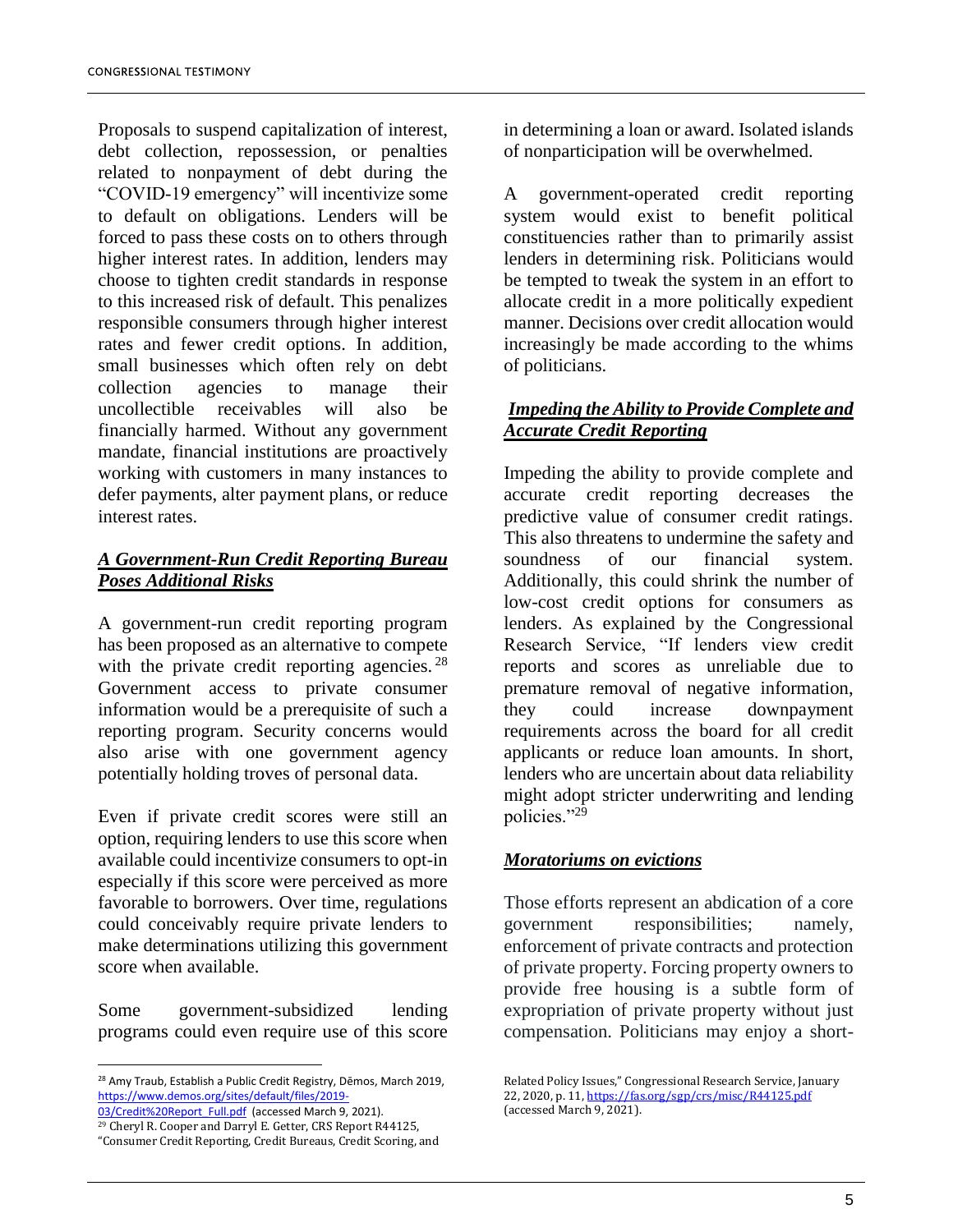Proposals to suspend capitalization of interest, debt collection, repossession, or penalties related to nonpayment of debt during the "COVID-19 emergency" will incentivize some to default on obligations. Lenders will be forced to pass these costs on to others through higher interest rates. In addition, lenders may choose to tighten credit standards in response to this increased risk of default. This penalizes responsible consumers through higher interest rates and fewer credit options. In addition, small businesses which often rely on debt collection agencies to manage their uncollectible receivables will also be financially harmed. Without any government mandate, financial institutions are proactively working with customers in many instances to defer payments, alter payment plans, or reduce interest rates.

# *A Government-Run Credit Reporting Bureau Poses Additional Risks*

A government-run credit reporting program has been proposed as an alternative to compete with the private credit reporting agencies.<sup>28</sup> Government access to private consumer information would be a prerequisite of such a reporting program. Security concerns would also arise with one government agency potentially holding troves of personal data.

Even if private credit scores were still an option, requiring lenders to use this score when available could incentivize consumers to opt-in especially if this score were perceived as more favorable to borrowers. Over time, regulations could conceivably require private lenders to make determinations utilizing this government score when available.

Some government-subsidized lending programs could even require use of this score

[03/Credit%20Report\\_Full.pdf](https://www.demos.org/sites/default/files/2019-03/Credit%20Report_Full.pdf) (accessed March 9, 2021). <sup>29</sup> Cheryl R. Cooper and Darryl E. Getter, CRS Report R44125, "Consumer Credit Reporting, Credit Bureaus, Credit Scoring, and in determining a loan or award. Isolated islands of nonparticipation will be overwhelmed.

A government-operated credit reporting system would exist to benefit political constituencies rather than to primarily assist lenders in determining risk. Politicians would be tempted to tweak the system in an effort to allocate credit in a more politically expedient manner. Decisions over credit allocation would increasingly be made according to the whims of politicians.

# *Impeding the Ability to Provide Complete and Accurate Credit Reporting*

Impeding the ability to provide complete and accurate credit reporting decreases the predictive value of consumer credit ratings. This also threatens to undermine the safety and soundness of our financial system. Additionally, this could shrink the number of low-cost credit options for consumers as lenders. As explained by the Congressional Research Service, "If lenders view credit reports and scores as unreliable due to premature removal of negative information, they could increase downpayment requirements across the board for all credit applicants or reduce loan amounts. In short, lenders who are uncertain about data reliability might adopt stricter underwriting and lending policies."<sup>29</sup>

# *Moratoriums on evictions*

Those efforts represent an abdication of a core government responsibilities; namely, enforcement of private contracts and protection of private property. Forcing property owners to provide free housing is a subtle form of expropriation of private property without just compensation. Politicians may enjoy a short-

l <sup>28</sup> Amy Traub, Establish a Public Credit Registry, Dēmos, March 2019, [https://www.demos.org/sites/default/files/2019-](https://www.demos.org/sites/default/files/2019-03/Credit%20Report_Full.pdf)

Related Policy Issues," Congressional Research Service, January 22, 2020, p. 11, <https://fas.org/sgp/crs/misc/R44125.pdf> (accessed March 9, 2021).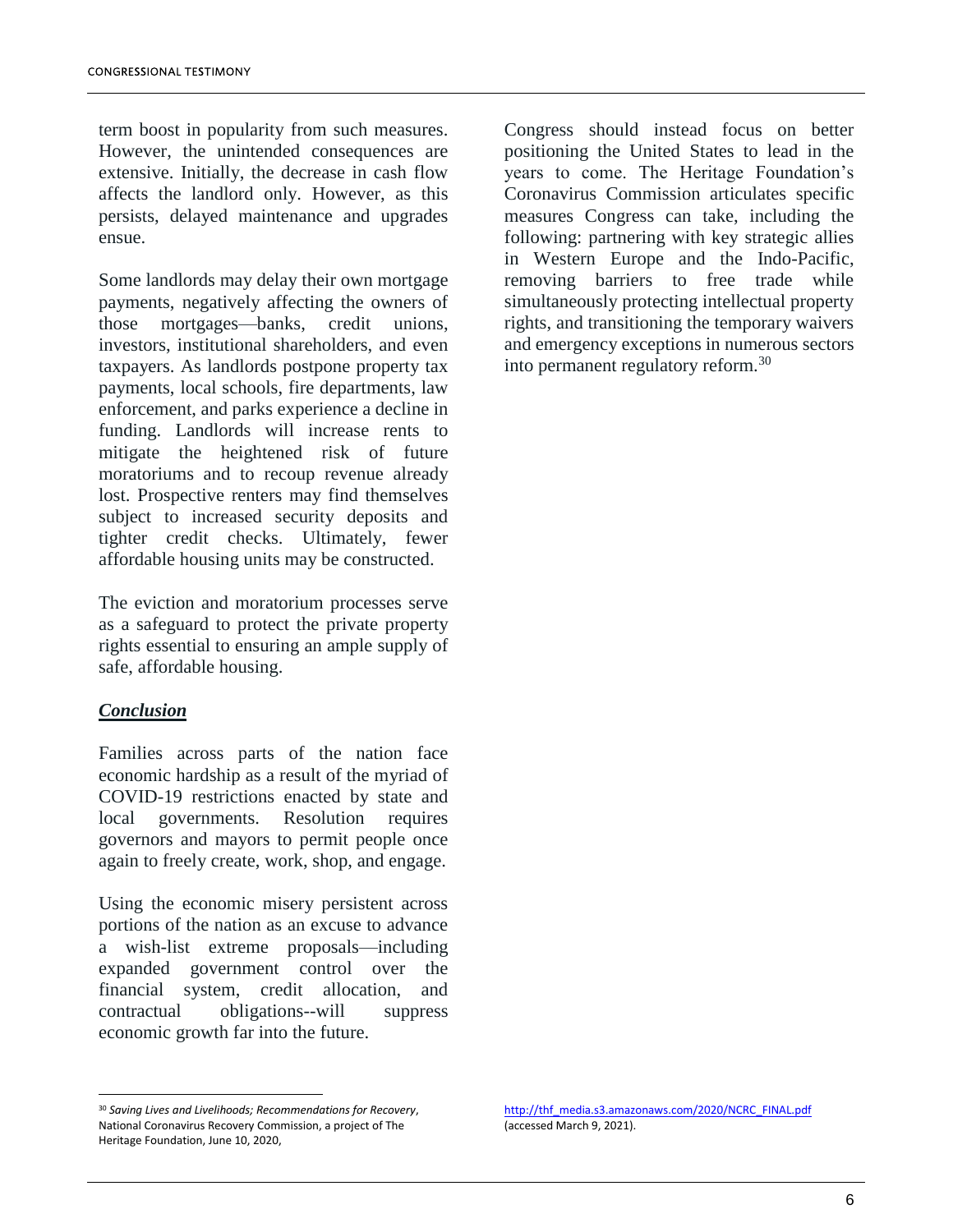term boost in popularity from such measures. However, the unintended consequences are extensive. Initially, the decrease in cash flow affects the landlord only. However, as this persists, delayed maintenance and upgrades ensue.

Some landlords may delay their own mortgage payments, negatively affecting the owners of those mortgages—banks, credit unions, investors, institutional shareholders, and even taxpayers. As landlords postpone property tax payments, local schools, fire departments, law enforcement, and parks experience a decline in funding. Landlords will increase rents to mitigate the heightened risk of future moratoriums and to recoup revenue already lost. Prospective renters may find themselves subject to increased security deposits and tighter credit checks. Ultimately, fewer affordable housing units may be constructed.

The eviction and moratorium processes serve as a safeguard to protect the private property rights essential to ensuring an ample supply of safe, affordable housing.

### *Conclusion*

 $\overline{\phantom{a}}$ 

Families across parts of the nation face economic hardship as a result of the myriad of COVID-19 restrictions enacted by state and local governments. Resolution requires governors and mayors to permit people once again to freely create, work, shop, and engage.

Using the economic misery persistent across portions of the nation as an excuse to advance a wish-list extreme proposals—including expanded government control over the financial system, credit allocation, and contractual obligations--will suppress economic growth far into the future.

<sup>30</sup> *Saving Lives and Livelihoods; Recommendations for Recovery*, National Coronavirus Recovery Commission, a project of The Heritage Foundation, June 10, 2020,

Congress should instead focus on better positioning the United States to lead in the years to come. The Heritage Foundation's Coronavirus Commission articulates specific measures Congress can take, including the following: partnering with key strategic allies in Western Europe and the Indo-Pacific, removing barriers to free trade while simultaneously protecting intellectual property rights, and transitioning the temporary waivers and emergency exceptions in numerous sectors into permanent regulatory reform.<sup>30</sup>

[http://thf\\_media.s3.amazonaws.com/2020/NCRC\\_FINAL.pdf](http://thf_media.s3.amazonaws.com/2020/NCRC_FINAL.pdf) (accessed March 9, 2021).